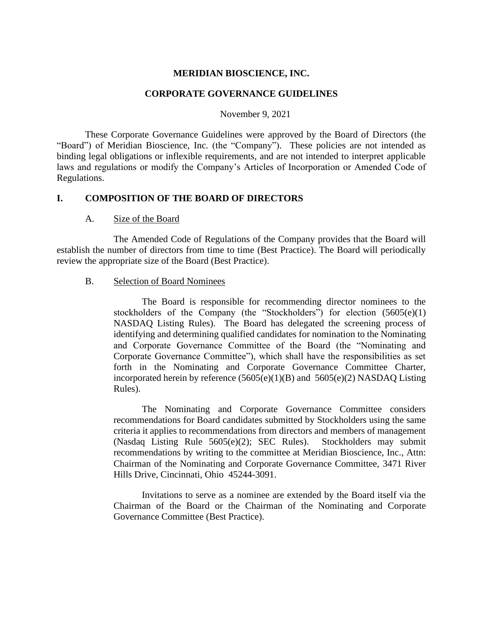#### **MERIDIAN BIOSCIENCE, INC.**

#### **CORPORATE GOVERNANCE GUIDELINES**

November 9, 2021

These Corporate Governance Guidelines were approved by the Board of Directors (the "Board") of Meridian Bioscience, Inc. (the "Company"). These policies are not intended as binding legal obligations or inflexible requirements, and are not intended to interpret applicable laws and regulations or modify the Company's Articles of Incorporation or Amended Code of Regulations.

#### **I. COMPOSITION OF THE BOARD OF DIRECTORS**

#### A. Size of the Board

The Amended Code of Regulations of the Company provides that the Board will establish the number of directors from time to time (Best Practice). The Board will periodically review the appropriate size of the Board (Best Practice).

#### B. Selection of Board Nominees

The Board is responsible for recommending director nominees to the stockholders of the Company (the "Stockholders") for election  $(5605(e)(1))$ NASDAQ Listing Rules). The Board has delegated the screening process of identifying and determining qualified candidates for nomination to the Nominating and Corporate Governance Committee of the Board (the "Nominating and Corporate Governance Committee"), which shall have the responsibilities as set forth in the Nominating and Corporate Governance Committee Charter, incorporated herein by reference  $(5605(e)(1)(B)$  and  $5605(e)(2)$  NASDAQ Listing Rules).

The Nominating and Corporate Governance Committee considers recommendations for Board candidates submitted by Stockholders using the same criteria it applies to recommendations from directors and members of management (Nasdaq Listing Rule 5605(e)(2); SEC Rules). Stockholders may submit recommendations by writing to the committee at Meridian Bioscience, Inc., Attn: Chairman of the Nominating and Corporate Governance Committee, 3471 River Hills Drive, Cincinnati, Ohio 45244-3091.

Invitations to serve as a nominee are extended by the Board itself via the Chairman of the Board or the Chairman of the Nominating and Corporate Governance Committee (Best Practice).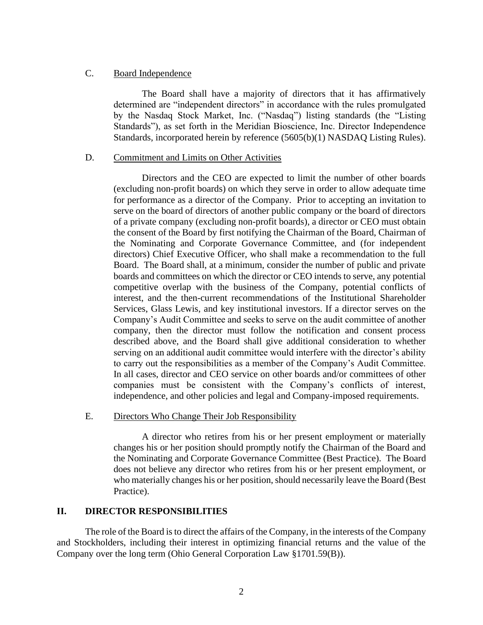## C. Board Independence

The Board shall have a majority of directors that it has affirmatively determined are "independent directors" in accordance with the rules promulgated by the Nasdaq Stock Market, Inc. ("Nasdaq") listing standards (the "Listing Standards"), as set forth in the Meridian Bioscience, Inc. Director Independence Standards, incorporated herein by reference (5605(b)(1) NASDAQ Listing Rules).

### D. Commitment and Limits on Other Activities

Directors and the CEO are expected to limit the number of other boards (excluding non-profit boards) on which they serve in order to allow adequate time for performance as a director of the Company. Prior to accepting an invitation to serve on the board of directors of another public company or the board of directors of a private company (excluding non-profit boards), a director or CEO must obtain the consent of the Board by first notifying the Chairman of the Board, Chairman of the Nominating and Corporate Governance Committee, and (for independent directors) Chief Executive Officer, who shall make a recommendation to the full Board. The Board shall, at a minimum, consider the number of public and private boards and committees on which the director or CEO intends to serve, any potential competitive overlap with the business of the Company, potential conflicts of interest, and the then-current recommendations of the Institutional Shareholder Services, Glass Lewis, and key institutional investors. If a director serves on the Company's Audit Committee and seeks to serve on the audit committee of another company, then the director must follow the notification and consent process described above, and the Board shall give additional consideration to whether serving on an additional audit committee would interfere with the director's ability to carry out the responsibilities as a member of the Company's Audit Committee. In all cases, director and CEO service on other boards and/or committees of other companies must be consistent with the Company's conflicts of interest, independence, and other policies and legal and Company-imposed requirements.

# E. Directors Who Change Their Job Responsibility

A director who retires from his or her present employment or materially changes his or her position should promptly notify the Chairman of the Board and the Nominating and Corporate Governance Committee (Best Practice). The Board does not believe any director who retires from his or her present employment, or who materially changes his or her position, should necessarily leave the Board (Best Practice).

# **II. DIRECTOR RESPONSIBILITIES**

The role of the Board is to direct the affairs of the Company, in the interests of the Company and Stockholders, including their interest in optimizing financial returns and the value of the Company over the long term (Ohio General Corporation Law §1701.59(B)).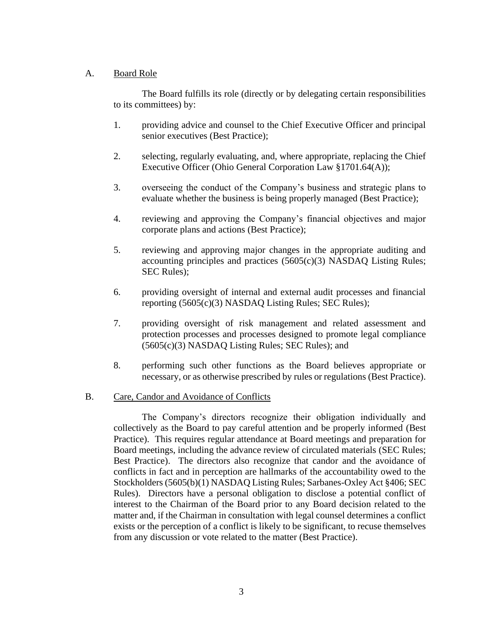# A. Board Role

The Board fulfills its role (directly or by delegating certain responsibilities to its committees) by:

- 1. providing advice and counsel to the Chief Executive Officer and principal senior executives (Best Practice);
- 2. selecting, regularly evaluating, and, where appropriate, replacing the Chief Executive Officer (Ohio General Corporation Law §1701.64(A));
- 3. overseeing the conduct of the Company's business and strategic plans to evaluate whether the business is being properly managed (Best Practice);
- 4. reviewing and approving the Company's financial objectives and major corporate plans and actions (Best Practice);
- 5. reviewing and approving major changes in the appropriate auditing and accounting principles and practices (5605(c)(3) NASDAQ Listing Rules; SEC Rules);
- 6. providing oversight of internal and external audit processes and financial reporting (5605(c)(3) NASDAQ Listing Rules; SEC Rules);
- 7. providing oversight of risk management and related assessment and protection processes and processes designed to promote legal compliance (5605(c)(3) NASDAQ Listing Rules; SEC Rules); and
- 8. performing such other functions as the Board believes appropriate or necessary, or as otherwise prescribed by rules or regulations (Best Practice).

# B. Care, Candor and Avoidance of Conflicts

The Company's directors recognize their obligation individually and collectively as the Board to pay careful attention and be properly informed (Best Practice). This requires regular attendance at Board meetings and preparation for Board meetings, including the advance review of circulated materials (SEC Rules; Best Practice). The directors also recognize that candor and the avoidance of conflicts in fact and in perception are hallmarks of the accountability owed to the Stockholders (5605(b)(1) NASDAQ Listing Rules; Sarbanes-Oxley Act §406; SEC Rules). Directors have a personal obligation to disclose a potential conflict of interest to the Chairman of the Board prior to any Board decision related to the matter and, if the Chairman in consultation with legal counsel determines a conflict exists or the perception of a conflict is likely to be significant, to recuse themselves from any discussion or vote related to the matter (Best Practice).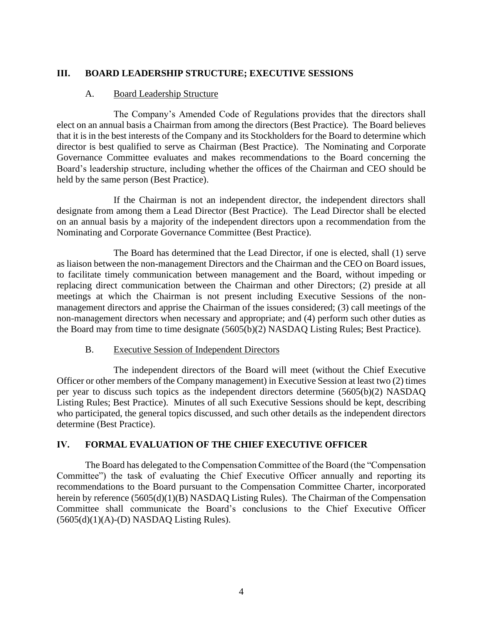# **III. BOARD LEADERSHIP STRUCTURE; EXECUTIVE SESSIONS**

## A. Board Leadership Structure

The Company's Amended Code of Regulations provides that the directors shall elect on an annual basis a Chairman from among the directors (Best Practice). The Board believes that it is in the best interests of the Company and its Stockholders for the Board to determine which director is best qualified to serve as Chairman (Best Practice). The Nominating and Corporate Governance Committee evaluates and makes recommendations to the Board concerning the Board's leadership structure, including whether the offices of the Chairman and CEO should be held by the same person (Best Practice).

If the Chairman is not an independent director, the independent directors shall designate from among them a Lead Director (Best Practice). The Lead Director shall be elected on an annual basis by a majority of the independent directors upon a recommendation from the Nominating and Corporate Governance Committee (Best Practice).

The Board has determined that the Lead Director, if one is elected, shall (1) serve as liaison between the non-management Directors and the Chairman and the CEO on Board issues, to facilitate timely communication between management and the Board, without impeding or replacing direct communication between the Chairman and other Directors; (2) preside at all meetings at which the Chairman is not present including Executive Sessions of the nonmanagement directors and apprise the Chairman of the issues considered; (3) call meetings of the non-management directors when necessary and appropriate; and (4) perform such other duties as the Board may from time to time designate (5605(b)(2) NASDAQ Listing Rules; Best Practice).

# B. Executive Session of Independent Directors

The independent directors of the Board will meet (without the Chief Executive Officer or other members of the Company management) in Executive Session at least two (2) times per year to discuss such topics as the independent directors determine (5605(b)(2) NASDAQ Listing Rules; Best Practice). Minutes of all such Executive Sessions should be kept, describing who participated, the general topics discussed, and such other details as the independent directors determine (Best Practice).

# **IV. FORMAL EVALUATION OF THE CHIEF EXECUTIVE OFFICER**

The Board has delegated to the Compensation Committee of the Board (the "Compensation Committee") the task of evaluating the Chief Executive Officer annually and reporting its recommendations to the Board pursuant to the Compensation Committee Charter, incorporated herein by reference (5605(d)(1)(B) NASDAQ Listing Rules). The Chairman of the Compensation Committee shall communicate the Board's conclusions to the Chief Executive Officer  $(5605(d)(1)(A)-(D)$  NASDAQ Listing Rules).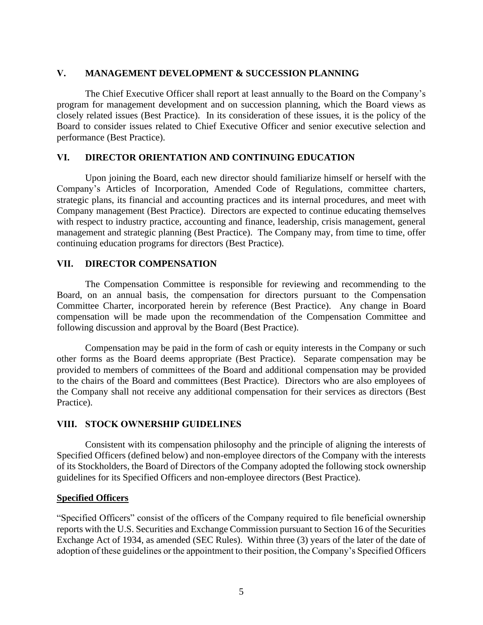## **V. MANAGEMENT DEVELOPMENT & SUCCESSION PLANNING**

The Chief Executive Officer shall report at least annually to the Board on the Company's program for management development and on succession planning, which the Board views as closely related issues (Best Practice). In its consideration of these issues, it is the policy of the Board to consider issues related to Chief Executive Officer and senior executive selection and performance (Best Practice).

# **VI. DIRECTOR ORIENTATION AND CONTINUING EDUCATION**

Upon joining the Board, each new director should familiarize himself or herself with the Company's Articles of Incorporation, Amended Code of Regulations, committee charters, strategic plans, its financial and accounting practices and its internal procedures, and meet with Company management (Best Practice). Directors are expected to continue educating themselves with respect to industry practice, accounting and finance, leadership, crisis management, general management and strategic planning (Best Practice). The Company may, from time to time, offer continuing education programs for directors (Best Practice).

### **VII. DIRECTOR COMPENSATION**

The Compensation Committee is responsible for reviewing and recommending to the Board, on an annual basis, the compensation for directors pursuant to the Compensation Committee Charter, incorporated herein by reference (Best Practice). Any change in Board compensation will be made upon the recommendation of the Compensation Committee and following discussion and approval by the Board (Best Practice).

Compensation may be paid in the form of cash or equity interests in the Company or such other forms as the Board deems appropriate (Best Practice). Separate compensation may be provided to members of committees of the Board and additional compensation may be provided to the chairs of the Board and committees (Best Practice). Directors who are also employees of the Company shall not receive any additional compensation for their services as directors (Best Practice).

# **VIII. STOCK OWNERSHIP GUIDELINES**

Consistent with its compensation philosophy and the principle of aligning the interests of Specified Officers (defined below) and non-employee directors of the Company with the interests of its Stockholders, the Board of Directors of the Company adopted the following stock ownership guidelines for its Specified Officers and non-employee directors (Best Practice).

# **Specified Officers**

"Specified Officers" consist of the officers of the Company required to file beneficial ownership reports with the U.S. Securities and Exchange Commission pursuant to Section 16 of the Securities Exchange Act of 1934, as amended (SEC Rules). Within three (3) years of the later of the date of adoption of these guidelines or the appointment to their position, the Company's Specified Officers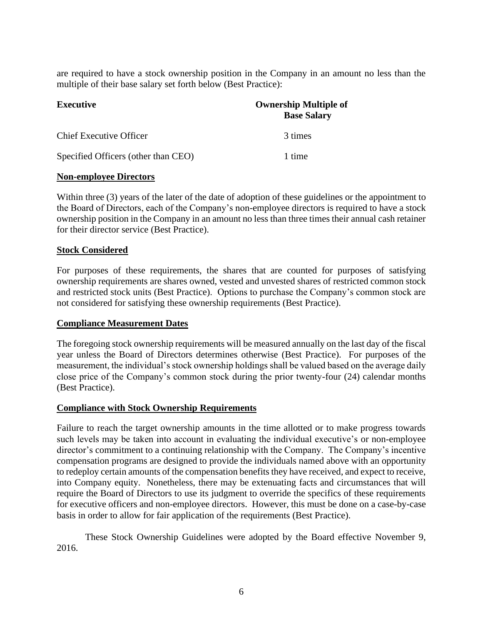are required to have a stock ownership position in the Company in an amount no less than the multiple of their base salary set forth below (Best Practice):

| <b>Executive</b>                    | <b>Ownership Multiple of</b><br><b>Base Salary</b> |
|-------------------------------------|----------------------------------------------------|
|                                     |                                                    |
| Specified Officers (other than CEO) | 1 time                                             |

### **Non-employee Directors**

Within three (3) years of the later of the date of adoption of these guidelines or the appointment to the Board of Directors, each of the Company's non-employee directors is required to have a stock ownership position in the Company in an amount no less than three times their annual cash retainer for their director service (Best Practice).

# **Stock Considered**

For purposes of these requirements, the shares that are counted for purposes of satisfying ownership requirements are shares owned, vested and unvested shares of restricted common stock and restricted stock units (Best Practice). Options to purchase the Company's common stock are not considered for satisfying these ownership requirements (Best Practice).

#### **Compliance Measurement Dates**

The foregoing stock ownership requirements will be measured annually on the last day of the fiscal year unless the Board of Directors determines otherwise (Best Practice). For purposes of the measurement, the individual's stock ownership holdings shall be valued based on the average daily close price of the Company's common stock during the prior twenty-four (24) calendar months (Best Practice).

# **Compliance with Stock Ownership Requirements**

Failure to reach the target ownership amounts in the time allotted or to make progress towards such levels may be taken into account in evaluating the individual executive's or non-employee director's commitment to a continuing relationship with the Company. The Company's incentive compensation programs are designed to provide the individuals named above with an opportunity to redeploy certain amounts of the compensation benefits they have received, and expect to receive, into Company equity. Nonetheless, there may be extenuating facts and circumstances that will require the Board of Directors to use its judgment to override the specifics of these requirements for executive officers and non-employee directors. However, this must be done on a case-by-case basis in order to allow for fair application of the requirements (Best Practice).

These Stock Ownership Guidelines were adopted by the Board effective November 9, 2016.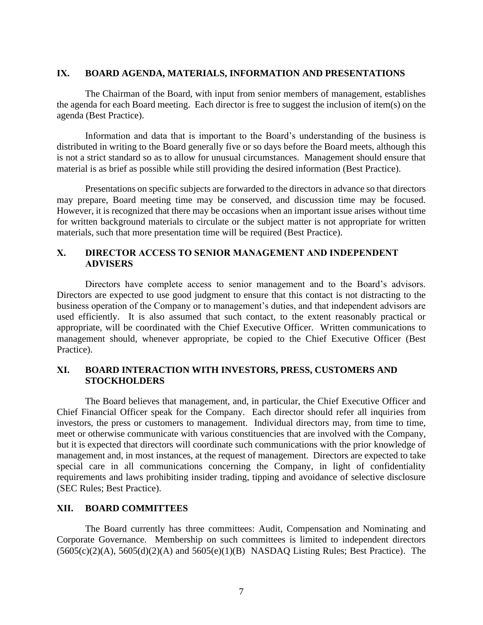### **IX. BOARD AGENDA, MATERIALS, INFORMATION AND PRESENTATIONS**

The Chairman of the Board, with input from senior members of management, establishes the agenda for each Board meeting. Each director is free to suggest the inclusion of item(s) on the agenda (Best Practice).

Information and data that is important to the Board's understanding of the business is distributed in writing to the Board generally five or so days before the Board meets, although this is not a strict standard so as to allow for unusual circumstances. Management should ensure that material is as brief as possible while still providing the desired information (Best Practice).

Presentations on specific subjects are forwarded to the directors in advance so that directors may prepare, Board meeting time may be conserved, and discussion time may be focused. However, it is recognized that there may be occasions when an important issue arises without time for written background materials to circulate or the subject matter is not appropriate for written materials, such that more presentation time will be required (Best Practice).

# **X. DIRECTOR ACCESS TO SENIOR MANAGEMENT AND INDEPENDENT ADVISERS**

Directors have complete access to senior management and to the Board's advisors. Directors are expected to use good judgment to ensure that this contact is not distracting to the business operation of the Company or to management's duties, and that independent advisors are used efficiently. It is also assumed that such contact, to the extent reasonably practical or appropriate, will be coordinated with the Chief Executive Officer. Written communications to management should, whenever appropriate, be copied to the Chief Executive Officer (Best Practice).

# **XI. BOARD INTERACTION WITH INVESTORS, PRESS, CUSTOMERS AND STOCKHOLDERS**

The Board believes that management, and, in particular, the Chief Executive Officer and Chief Financial Officer speak for the Company. Each director should refer all inquiries from investors, the press or customers to management. Individual directors may, from time to time, meet or otherwise communicate with various constituencies that are involved with the Company, but it is expected that directors will coordinate such communications with the prior knowledge of management and, in most instances, at the request of management. Directors are expected to take special care in all communications concerning the Company, in light of confidentiality requirements and laws prohibiting insider trading, tipping and avoidance of selective disclosure (SEC Rules; Best Practice).

# **XII. BOARD COMMITTEES**

The Board currently has three committees: Audit, Compensation and Nominating and Corporate Governance. Membership on such committees is limited to independent directors  $(5605(c)(2)(A), 5605(d)(2)(A)$  and  $5605(e)(1)(B)$  NASDAQ Listing Rules; Best Practice). The